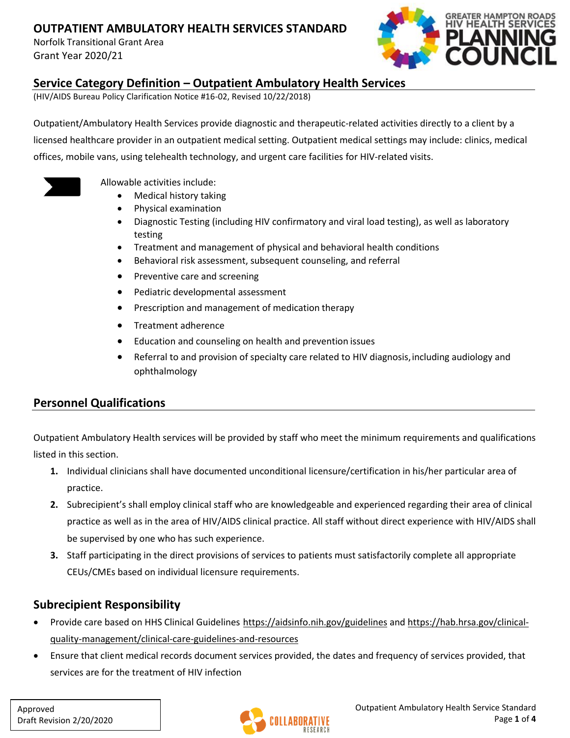Norfolk Transitional Grant Area Grant Year 2020/21



### **Service Category Definition – Outpatient Ambulatory Health Services**

(HIV/AIDS Bureau Policy Clarification Notice #16-02, Revised 10/22/2018)

Outpatient/Ambulatory Health Services provide diagnostic and therapeutic-related activities directly to a client by a licensed healthcare provider in an outpatient medical setting. Outpatient medical settings may include: clinics, medical offices, mobile vans, using telehealth technology, and urgent care facilities for HIV-related visits.



Allowable activities include:

- Medical history taking
- Physical examination
- Diagnostic Testing (including HIV confirmatory and viral load testing), as well as laboratory testing
- Treatment and management of physical and behavioral health conditions
- Behavioral risk assessment, subsequent counseling, and referral
- Preventive care and screening
- Pediatric developmental assessment
- Prescription and management of medication therapy
- Treatment adherence
- Education and counseling on health and prevention issues
- Referral to and provision of specialty care related to HIV diagnosis, including audiology and ophthalmology

## **Personnel Qualifications**

Outpatient Ambulatory Health services will be provided by staff who meet the minimum requirements and qualifications listed in this section.

- **1.** Individual clinicians shall have documented unconditional licensure/certification in his/her particular area of practice.
- **2.** Subrecipient's shall employ clinical staff who are knowledgeable and experienced regarding their area of clinical practice as well as in the area of HIV/AIDS clinical practice. All staff without direct experience with HIV/AIDS shall be supervised by one who has such experience.
- **3.** Staff participating in the direct provisions of services to patients must satisfactorily complete all appropriate CEUs/CMEs based on individual licensure requirements.

## **Subrecipient Responsibility**

- Provide care based on HHS Clinical Guidelines <https://aidsinfo.nih.gov/guidelines> and [https://hab.hrsa.gov/clinical](https://hab.hrsa.gov/clinical-quality-management/clinical-care-guidelines-and-resources)[quality-management/clinical-care-guidelines-and-resources](https://hab.hrsa.gov/clinical-quality-management/clinical-care-guidelines-and-resources)
- Ensure that client medical records document services provided, the dates and frequency of services provided, that services are for the treatment of HIV infection

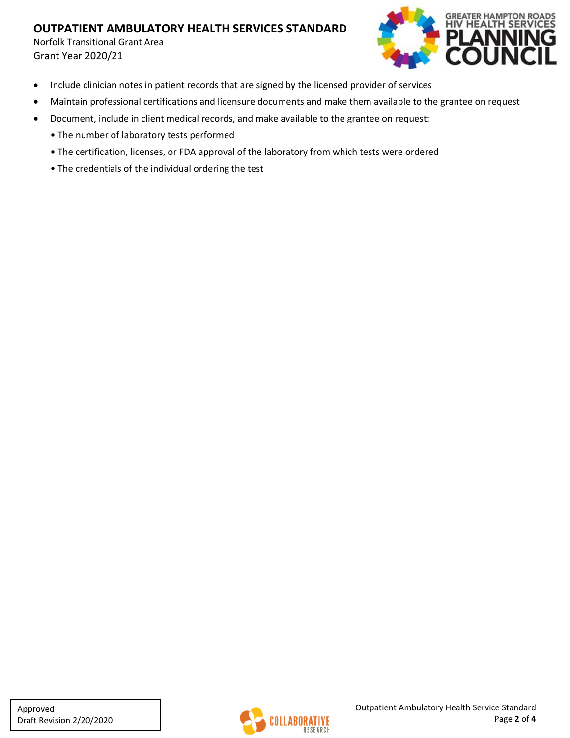Norfolk Transitional Grant Area Grant Year 2020/21



- Include clinician notes in patient records that are signed by the licensed provider of services
- Maintain professional certifications and licensure documents and make them available to the grantee on request
- Document, include in client medical records, and make available to the grantee on request:
	- The number of laboratory tests performed
	- The certification, licenses, or FDA approval of the laboratory from which tests were ordered
	- The credentials of the individual ordering the test

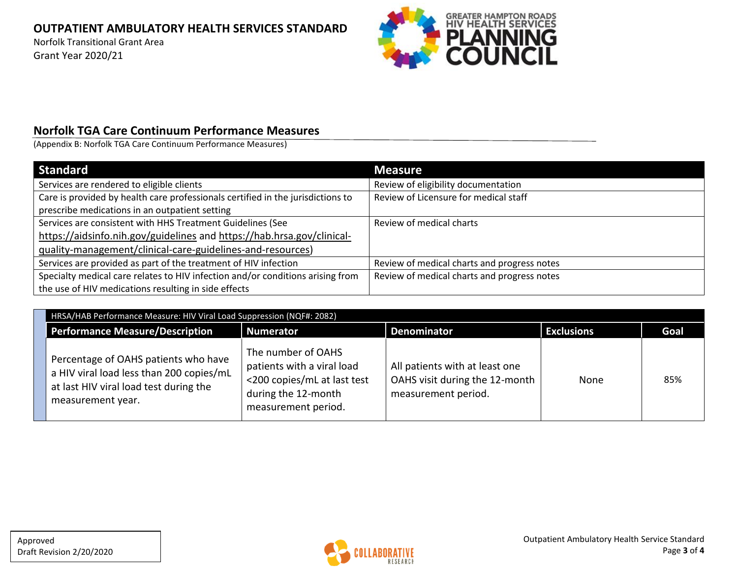Norfolk Transitional Grant Area Grant Year 2020/21



## **Norfolk TGA Care Continuum Performance Measures**

(Appendix B: Norfolk TGA Care Continuum Performance Measures)

| <b>Standard</b>                                                                 | <b>Measure</b>                              |
|---------------------------------------------------------------------------------|---------------------------------------------|
| Services are rendered to eligible clients                                       | Review of eligibility documentation         |
| Care is provided by health care professionals certified in the jurisdictions to | Review of Licensure for medical staff       |
| prescribe medications in an outpatient setting                                  |                                             |
| Services are consistent with HHS Treatment Guidelines (See                      | Review of medical charts                    |
| https://aidsinfo.nih.gov/guidelines and https://hab.hrsa.gov/clinical-          |                                             |
| quality-management/clinical-care-guidelines-and-resources)                      |                                             |
| Services are provided as part of the treatment of HIV infection                 | Review of medical charts and progress notes |
| Specialty medical care relates to HIV infection and/or conditions arising from  | Review of medical charts and progress notes |
| the use of HIV medications resulting in side effects                            |                                             |

| HRSA/HAB Performance Measure: HIV Viral Load Suppression (NQF#: 2082)                                                                           |                                                                                                                               |                                                                                         |                   |      |  |
|-------------------------------------------------------------------------------------------------------------------------------------------------|-------------------------------------------------------------------------------------------------------------------------------|-----------------------------------------------------------------------------------------|-------------------|------|--|
| Performance Measure/Description                                                                                                                 | <b>Numerator</b>                                                                                                              | <b>Denominator</b>                                                                      | <b>Exclusions</b> | Goal |  |
| Percentage of OAHS patients who have<br>a HIV viral load less than 200 copies/mL<br>at last HIV viral load test during the<br>measurement year. | The number of OAHS<br>patients with a viral load<br><200 copies/mL at last test<br>during the 12-month<br>measurement period. | All patients with at least one<br>OAHS visit during the 12-month<br>measurement period. | None              | 85%  |  |